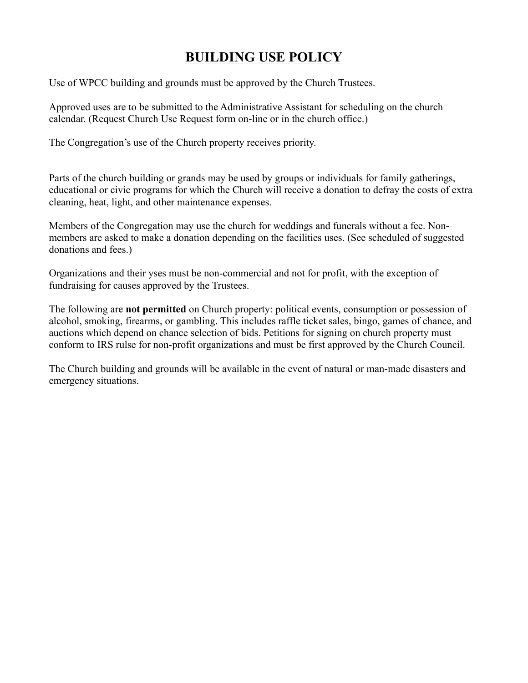## **BUILDING USE POLICY**

Use of WPCC building and grounds must be approved by the Church Trustees.

Approved uses are to be submitted to the Administrative Assistant for scheduling on the church calendar. (Request Church Use Request form on-line or in the church office.)

The Congregation's use of the Church property receives priority.

Parts of the church building or grands may be used by groups or individuals for family gatherings, educational or civic programs for which the Church will receive a donation to defray the costs of extra cleaning, heat, light, and other maintenance expenses.

Members of the Congregation may use the church for weddings and funerals without a fee. Nonmembers are asked to make a donation depending on the facilities uses. (See scheduled of suggested donations and fees.)

Organizations and their yses must be non-commercial and not for profit, with the exception of fundraising for causes approved by the Trustees.

The following are **not permitted** on Church property: political events, consumption or possession of alcohol, smoking, firearms, or gambling. This includes raffle ticket sales, bingo, games of chance, and auctions which depend on chance selection of bids. Petitions for signing on church property must conform to IRS rulse for non-profit organizations and must be first approved by the Church Council.

The Church building and grounds will be available in the event of natural or man-made disasters and emergency situations.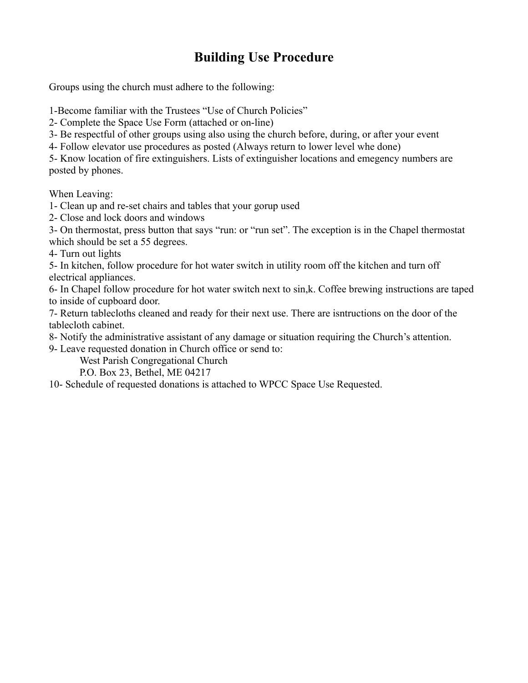## **Building Use Procedure**

Groups using the church must adhere to the following:

1-Become familiar with the Trustees "Use of Church Policies"

2- Complete the Space Use Form (attached or on-line)

3- Be respectful of other groups using also using the church before, during, or after your event

4- Follow elevator use procedures as posted (Always return to lower level whe done)

5- Know location of fire extinguishers. Lists of extinguisher locations and emegency numbers are posted by phones.

When Leaving:

1- Clean up and re-set chairs and tables that your gorup used

2- Close and lock doors and windows

3- On thermostat, press button that says "run: or "run set". The exception is in the Chapel thermostat which should be set a 55 degrees.

4- Turn out lights

5- In kitchen, follow procedure for hot water switch in utility room off the kitchen and turn off electrical appliances.

6- In Chapel follow procedure for hot water switch next to sin,k. Coffee brewing instructions are taped to inside of cupboard door.

7- Return tablecloths cleaned and ready for their next use. There are isntructions on the door of the tablecloth cabinet.

8- Notify the administrative assistant of any damage or situation requiring the Church's attention.

9- Leave requested donation in Church office or send to:

West Parish Congregational Church

P.O. Box 23, Bethel, ME 04217

10- Schedule of requested donations is attached to WPCC Space Use Requested.